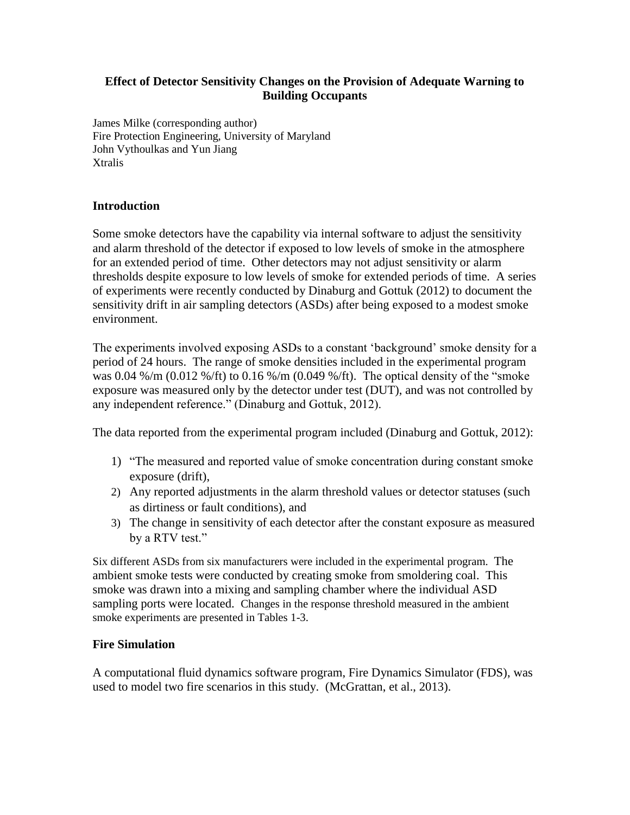## **Effect of Detector Sensitivity Changes on the Provision of Adequate Warning to Building Occupants**

James Milke (corresponding author) Fire Protection Engineering, University of Maryland John Vythoulkas and Yun Jiang **Xtralis** 

# **Introduction**

Some smoke detectors have the capability via internal software to adjust the sensitivity and alarm threshold of the detector if exposed to low levels of smoke in the atmosphere for an extended period of time. Other detectors may not adjust sensitivity or alarm thresholds despite exposure to low levels of smoke for extended periods of time. A series of experiments were recently conducted by Dinaburg and Gottuk (2012) to document the sensitivity drift in air sampling detectors (ASDs) after being exposed to a modest smoke environment.

The experiments involved exposing ASDs to a constant 'background' smoke density for a period of 24 hours. The range of smoke densities included in the experimental program was 0.04 %/m (0.012 %/ft) to 0.16 %/m (0.049 %/ft). The optical density of the "smoke exposure was measured only by the detector under test (DUT), and was not controlled by any independent reference." (Dinaburg and Gottuk, 2012).

The data reported from the experimental program included (Dinaburg and Gottuk, 2012):

- 1) "The measured and reported value of smoke concentration during constant smoke exposure (drift),
- 2) Any reported adjustments in the alarm threshold values or detector statuses (such as dirtiness or fault conditions), and
- 3) The change in sensitivity of each detector after the constant exposure as measured by a RTV test."

Six different ASDs from six manufacturers were included in the experimental program. The ambient smoke tests were conducted by creating smoke from smoldering coal. This smoke was drawn into a mixing and sampling chamber where the individual ASD sampling ports were located. Changes in the response threshold measured in the ambient smoke experiments are presented in Tables 1-3.

#### **Fire Simulation**

A computational fluid dynamics software program, Fire Dynamics Simulator (FDS), was used to model two fire scenarios in this study. (McGrattan, et al., 2013).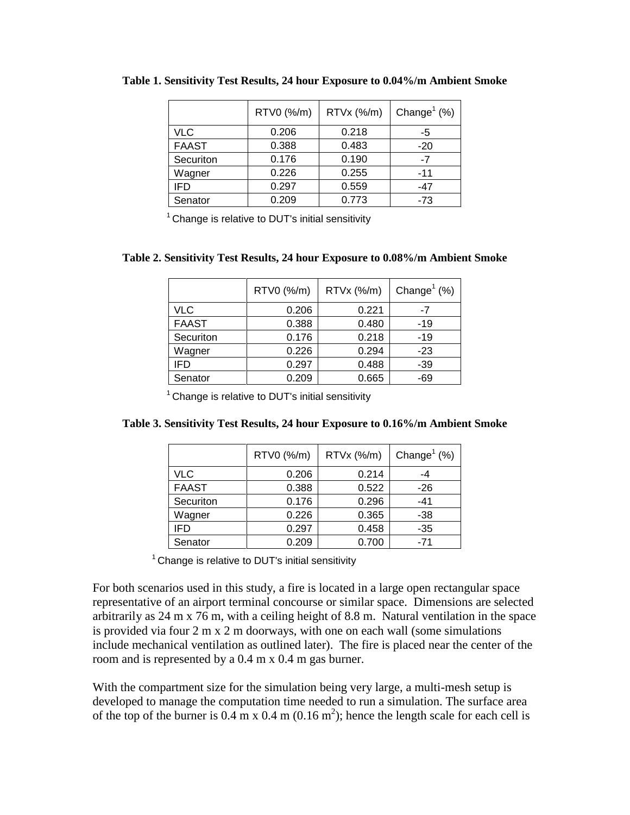|              | RTV0 (%/m) | RTVx (%/m) | Change <sup>1</sup> $(\%)$ |
|--------------|------------|------------|----------------------------|
| VLC          | 0.206      | 0.218      | -5                         |
| <b>FAAST</b> | 0.388      | 0.483      | $-20$                      |
| Securiton    | 0.176      | 0.190      | $-7$                       |
| Wagner       | 0.226      | 0.255      | $-11$                      |
| IFD          | 0.297      | 0.559      | -47                        |
| Senator      | 0.209      | 0.773      | $-73$                      |

**Table 1. Sensitivity Test Results, 24 hour Exposure to 0.04%/m Ambient Smoke**

 $1$  Change is relative to DUT's initial sensitivity

#### **Table 2. Sensitivity Test Results, 24 hour Exposure to 0.08%/m Ambient Smoke**

|              | RTV0 (%/m) | RTVx (%/m) | Change <sup>1</sup> $(\%)$ |
|--------------|------------|------------|----------------------------|
| <b>VLC</b>   | 0.206      | 0.221      | -7                         |
| <b>FAAST</b> | 0.388      | 0.480      | -19                        |
| Securiton    | 0.176      | 0.218      | -19                        |
| Wagner       | 0.226      | 0.294      | $-23$                      |
| <b>IFD</b>   | 0.297      | 0.488      | $-39$                      |
| Senator      | 0.209      | 0.665      | -69                        |

 $1$  Change is relative to DUT's initial sensitivity

| Table 3. Sensitivity Test Results, 24 hour Exposure to 0.16%/m Ambient Smoke |  |  |  |  |
|------------------------------------------------------------------------------|--|--|--|--|
|------------------------------------------------------------------------------|--|--|--|--|

|              | RTV0 (%/m) | RTVx (%/m) | Change <sup>1</sup> $(\%)$ |
|--------------|------------|------------|----------------------------|
| <b>VLC</b>   | 0.206      | 0.214      |                            |
| <b>FAAST</b> | 0.388      | 0.522      | $-26$                      |
| Securiton    | 0.176      | 0.296      | $-41$                      |
| Wagner       | 0.226      | 0.365      | -38                        |
| IFD          | 0.297      | 0.458      | $-35$                      |
| Senator      | 0.209      | 0.700      | $-71$                      |

 $1$  Change is relative to DUT's initial sensitivity

For both scenarios used in this study, a fire is located in a large open rectangular space representative of an airport terminal concourse or similar space. Dimensions are selected arbitrarily as 24 m x 76 m, with a ceiling height of 8.8 m. Natural ventilation in the space is provided via four 2 m x 2 m doorways, with one on each wall (some simulations include mechanical ventilation as outlined later). The fire is placed near the center of the room and is represented by a 0.4 m x 0.4 m gas burner.

With the compartment size for the simulation being very large, a multi-mesh setup is developed to manage the computation time needed to run a simulation. The surface area of the top of the burner is  $0.4 \text{ m} \times 0.4 \text{ m} (0.16 \text{ m}^2)$ ; hence the length scale for each cell is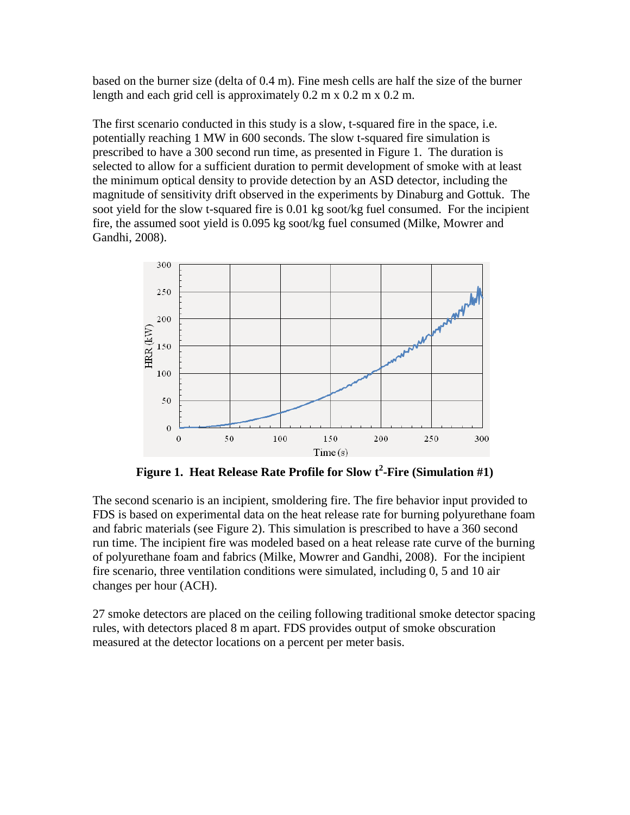based on the burner size (delta of 0.4 m). Fine mesh cells are half the size of the burner length and each grid cell is approximately 0.2 m x 0.2 m x 0.2 m.

The first scenario conducted in this study is a slow, t-squared fire in the space, i.e. potentially reaching 1 MW in 600 seconds. The slow t-squared fire simulation is prescribed to have a 300 second run time, as presented in Figure 1. The duration is selected to allow for a sufficient duration to permit development of smoke with at least the minimum optical density to provide detection by an ASD detector, including the magnitude of sensitivity drift observed in the experiments by Dinaburg and Gottuk. The soot yield for the slow t-squared fire is 0.01 kg soot/kg fuel consumed. For the incipient fire, the assumed soot yield is 0.095 kg soot/kg fuel consumed (Milke, Mowrer and Gandhi, 2008).



**Figure 1. Heat Release Rate Profile for Slow t<sup>2</sup> -Fire (Simulation #1)**

The second scenario is an incipient, smoldering fire. The fire behavior input provided to FDS is based on experimental data on the heat release rate for burning polyurethane foam and fabric materials (see Figure 2). This simulation is prescribed to have a 360 second run time. The incipient fire was modeled based on a heat release rate curve of the burning of polyurethane foam and fabrics (Milke, Mowrer and Gandhi, 2008). For the incipient fire scenario, three ventilation conditions were simulated, including 0, 5 and 10 air changes per hour (ACH).

27 smoke detectors are placed on the ceiling following traditional smoke detector spacing rules, with detectors placed 8 m apart. FDS provides output of smoke obscuration measured at the detector locations on a percent per meter basis.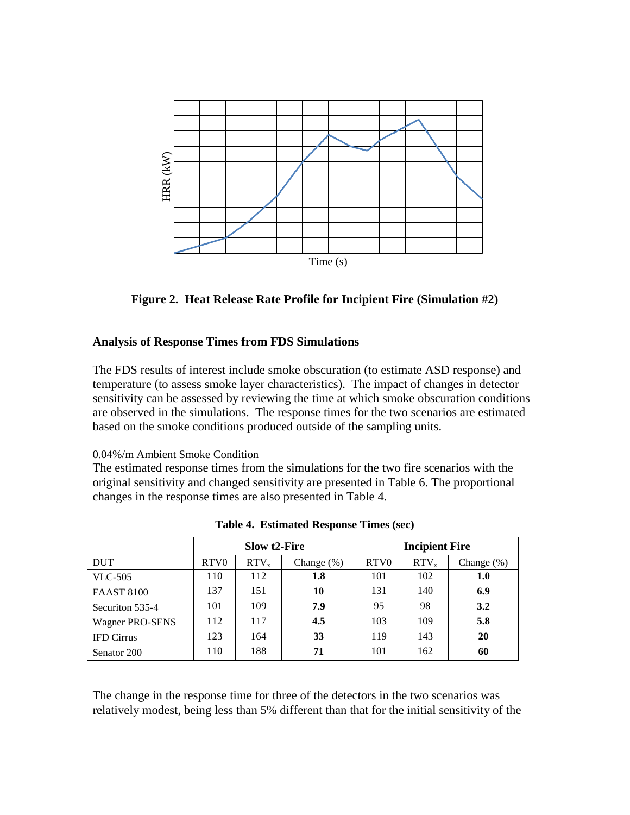

**Figure 2. Heat Release Rate Profile for Incipient Fire (Simulation #2)**

# **Analysis of Response Times from FDS Simulations**

#### 0.04%/m Ambient Smoke Condition

| HRR (kW)                                                                                                                                                                                                                                                                                                                                                                                                                                                                                                                                                                                                                                    |      |                  |                                                                        |      |                       |            |
|---------------------------------------------------------------------------------------------------------------------------------------------------------------------------------------------------------------------------------------------------------------------------------------------------------------------------------------------------------------------------------------------------------------------------------------------------------------------------------------------------------------------------------------------------------------------------------------------------------------------------------------------|------|------------------|------------------------------------------------------------------------|------|-----------------------|------------|
|                                                                                                                                                                                                                                                                                                                                                                                                                                                                                                                                                                                                                                             |      |                  |                                                                        |      |                       |            |
|                                                                                                                                                                                                                                                                                                                                                                                                                                                                                                                                                                                                                                             |      |                  |                                                                        |      |                       |            |
|                                                                                                                                                                                                                                                                                                                                                                                                                                                                                                                                                                                                                                             |      |                  |                                                                        |      |                       |            |
|                                                                                                                                                                                                                                                                                                                                                                                                                                                                                                                                                                                                                                             |      |                  |                                                                        |      |                       |            |
|                                                                                                                                                                                                                                                                                                                                                                                                                                                                                                                                                                                                                                             |      |                  |                                                                        |      |                       |            |
|                                                                                                                                                                                                                                                                                                                                                                                                                                                                                                                                                                                                                                             |      |                  | Time(s)                                                                |      |                       |            |
|                                                                                                                                                                                                                                                                                                                                                                                                                                                                                                                                                                                                                                             |      |                  |                                                                        |      |                       |            |
|                                                                                                                                                                                                                                                                                                                                                                                                                                                                                                                                                                                                                                             |      |                  | Figure 2. Heat Release Rate Profile for Incipient Fire (Simulation #2) |      |                       |            |
|                                                                                                                                                                                                                                                                                                                                                                                                                                                                                                                                                                                                                                             |      |                  |                                                                        |      |                       |            |
| <b>Analysis of Response Times from FDS Simulations</b>                                                                                                                                                                                                                                                                                                                                                                                                                                                                                                                                                                                      |      |                  |                                                                        |      |                       |            |
| The FDS results of interest include smoke obscuration (to estimate ASD response) and                                                                                                                                                                                                                                                                                                                                                                                                                                                                                                                                                        |      |                  |                                                                        |      |                       |            |
|                                                                                                                                                                                                                                                                                                                                                                                                                                                                                                                                                                                                                                             |      |                  |                                                                        |      |                       |            |
|                                                                                                                                                                                                                                                                                                                                                                                                                                                                                                                                                                                                                                             |      |                  |                                                                        |      |                       |            |
|                                                                                                                                                                                                                                                                                                                                                                                                                                                                                                                                                                                                                                             |      |                  |                                                                        |      |                       |            |
|                                                                                                                                                                                                                                                                                                                                                                                                                                                                                                                                                                                                                                             |      |                  |                                                                        |      |                       |            |
|                                                                                                                                                                                                                                                                                                                                                                                                                                                                                                                                                                                                                                             |      |                  |                                                                        |      |                       |            |
|                                                                                                                                                                                                                                                                                                                                                                                                                                                                                                                                                                                                                                             |      |                  |                                                                        |      |                       |            |
|                                                                                                                                                                                                                                                                                                                                                                                                                                                                                                                                                                                                                                             |      |                  |                                                                        |      |                       |            |
|                                                                                                                                                                                                                                                                                                                                                                                                                                                                                                                                                                                                                                             |      |                  |                                                                        |      |                       |            |
|                                                                                                                                                                                                                                                                                                                                                                                                                                                                                                                                                                                                                                             |      |                  |                                                                        |      |                       |            |
|                                                                                                                                                                                                                                                                                                                                                                                                                                                                                                                                                                                                                                             |      |                  |                                                                        |      |                       |            |
|                                                                                                                                                                                                                                                                                                                                                                                                                                                                                                                                                                                                                                             |      |                  |                                                                        |      |                       |            |
| temperature (to assess smoke layer characteristics). The impact of changes in detector<br>sensitivity can be assessed by reviewing the time at which smoke obscuration condition<br>are observed in the simulations. The response times for the two scenarios are estimated<br>based on the smoke conditions produced outside of the sampling units.<br>0.04%/m Ambient Smoke Condition<br>The estimated response times from the simulations for the two fire scenarios with the<br>original sensitivity and changed sensitivity are presented in Table 6. The proportional<br>changes in the response times are also presented in Table 4. |      |                  | Table 4. Estimated Response Times (sec)                                |      |                       |            |
|                                                                                                                                                                                                                                                                                                                                                                                                                                                                                                                                                                                                                                             |      | Slow t2-Fire     |                                                                        |      | <b>Incipient Fire</b> |            |
|                                                                                                                                                                                                                                                                                                                                                                                                                                                                                                                                                                                                                                             | RTV0 | RTV <sub>x</sub> | Change (%)                                                             | RTV0 | RTV <sub>x</sub>      | Change (%) |
|                                                                                                                                                                                                                                                                                                                                                                                                                                                                                                                                                                                                                                             | 110  | 112              | 1.8                                                                    | 101  | 102                   | 1.0        |
|                                                                                                                                                                                                                                                                                                                                                                                                                                                                                                                                                                                                                                             | 137  | 151              | 10                                                                     | 131  | 140                   | 6.9        |
|                                                                                                                                                                                                                                                                                                                                                                                                                                                                                                                                                                                                                                             | 101  | 109              | 7.9                                                                    | 95   | 98                    | 3.2        |
|                                                                                                                                                                                                                                                                                                                                                                                                                                                                                                                                                                                                                                             | 112  | 117              | 4.5                                                                    | 103  | 109                   | 5.8        |
| <b>DUT</b><br><b>VLC-505</b><br><b>FAAST 8100</b><br>Securiton 535-4<br><b>Wagner PRO-SENS</b><br><b>IFD Cirrus</b>                                                                                                                                                                                                                                                                                                                                                                                                                                                                                                                         | 123  | 164              | 33                                                                     | 119  | 143                   | 20         |

**Table 4. Estimated Response Times (sec)**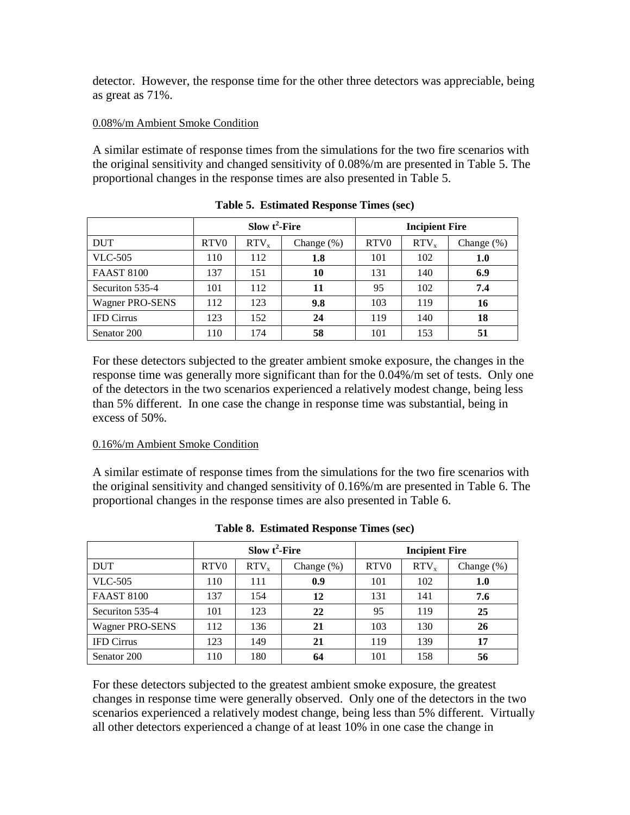detector. However, the response time for the other three detectors was appreciable, being as great as 71%.

## 0.08%/m Ambient Smoke Condition

A similar estimate of response times from the simulations for the two fire scenarios with the original sensitivity and changed sensitivity of 0.08%/m are presented in Table 5. The proportional changes in the response times are also presented in Table 5.

|                        | Slow $t^2$ -Fire |                  |               | <b>Incipient Fire</b> |                  |               |
|------------------------|------------------|------------------|---------------|-----------------------|------------------|---------------|
| <b>DUT</b>             | RTV <sub>0</sub> | RTV <sub>x</sub> | Change $(\%)$ | RTV <sub>0</sub>      | RTV <sub>x</sub> | Change $(\%)$ |
| <b>VLC-505</b>         | 110              | 112              | 1.8           | 101                   | 102              | 1.0           |
| <b>FAAST 8100</b>      | 137              | 151              | 10            | 131                   | 140              | 6.9           |
| Securiton 535-4        | 101              | 112              | 11            | 95                    | 102              | 7.4           |
| <b>Wagner PRO-SENS</b> | 112              | 123              | 9.8           | 103                   | 119              | 16            |
| <b>IFD</b> Cirrus      | 123              | 152              | 24            | 119                   | 140              | 18            |
| Senator 200            | 110              | 174              | 58            | 101                   | 153              | 51            |

**Table 5. Estimated Response Times (sec)**

For these detectors subjected to the greater ambient smoke exposure, the changes in the response time was generally more significant than for the 0.04%/m set of tests. Only one of the detectors in the two scenarios experienced a relatively modest change, being less than 5% different. In one case the change in response time was substantial, being in excess of 50%.

#### 0.16%/m Ambient Smoke Condition

A similar estimate of response times from the simulations for the two fire scenarios with the original sensitivity and changed sensitivity of 0.16%/m are presented in Table 6. The proportional changes in the response times are also presented in Table 6.

|                        | Slow $t^2$ -Fire |           |               | <b>Incipient Fire</b> |           |               |
|------------------------|------------------|-----------|---------------|-----------------------|-----------|---------------|
| <b>DUT</b>             | RTV <sub>0</sub> | $RTV_{x}$ | Change $(\%)$ | RTV <sub>0</sub>      | $RTV_{x}$ | Change $(\%)$ |
| <b>VLC-505</b>         | 110              | 111       | 0.9           | 101                   | 102       | 1.0           |
| <b>FAAST 8100</b>      | 137              | 154       | 12            | 131                   | 141       | 7.6           |
| Securiton 535-4        | 101              | 123       | 22            | 95                    | 119       | 25            |
| <b>Wagner PRO-SENS</b> | 112              | 136       | 21            | 103                   | 130       | 26            |
| <b>IFD Cirrus</b>      | 123              | 149       | 21            | 119                   | 139       | 17            |
| Senator 200            | 110              | 180       | 64            | 101                   | 158       | 56            |

**Table 8. Estimated Response Times (sec)**

For these detectors subjected to the greatest ambient smoke exposure, the greatest changes in response time were generally observed. Only one of the detectors in the two scenarios experienced a relatively modest change, being less than 5% different. Virtually all other detectors experienced a change of at least 10% in one case the change in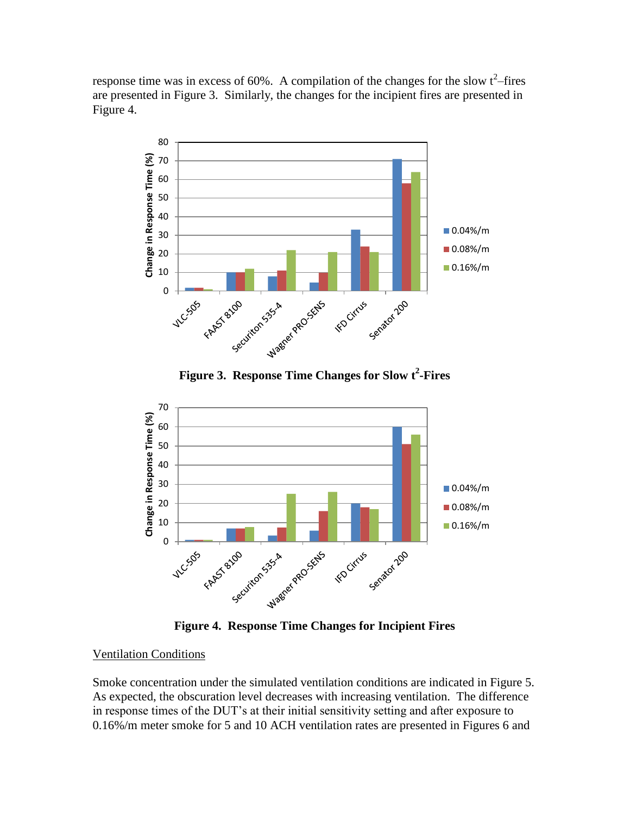response time was in excess of 60%. A compilation of the changes for the slow  $t^2$ -fires are presented in Figure 3. Similarly, the changes for the incipient fires are presented in Figure 4.



**Figure 3. Response Time Changes for Slow t<sup>2</sup> -Fires**



**Figure 4. Response Time Changes for Incipient Fires**

# Ventilation Conditions

Smoke concentration under the simulated ventilation conditions are indicated in Figure 5. As expected, the obscuration level decreases with increasing ventilation. The difference in response times of the DUT's at their initial sensitivity setting and after exposure to 0.16%/m meter smoke for 5 and 10 ACH ventilation rates are presented in Figures 6 and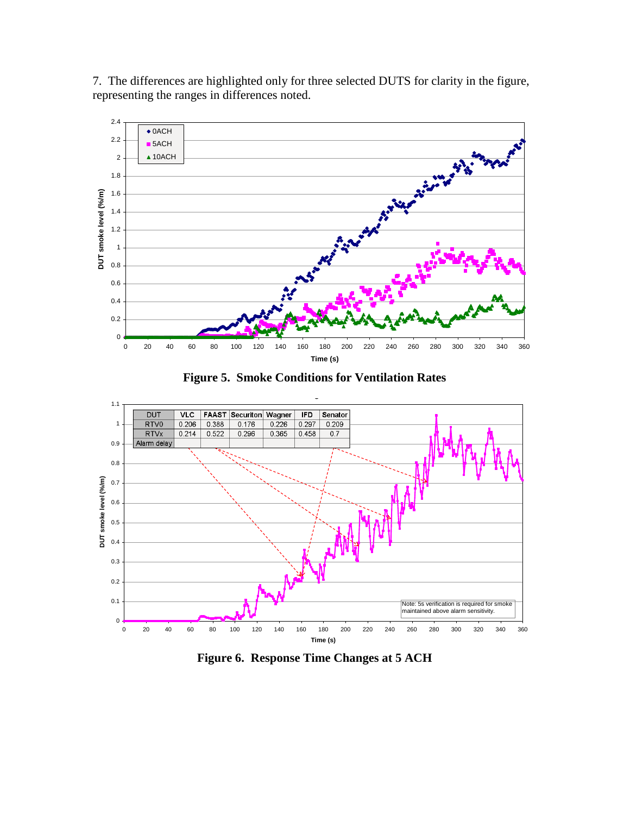7. The differences are highlighted only for three selected DUTS for clarity in the figure, representing the ranges in differences noted.